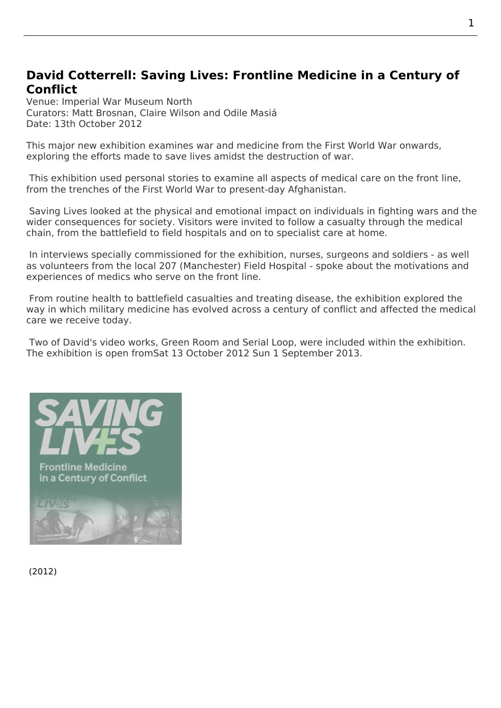## **David Cotterrell: Saving Lives: Frontline Medicine in a Century of Conflict**

Venue: Imperial War Museum North Curators: Matt Brosnan, Claire Wilson and Odile Masiá Date: 13th October 2012

This major new exhibition examines war and medicine from the First World War onwards, exploring the efforts made to save lives amidst the destruction of war.

 This exhibition used personal stories to examine all aspects of medical care on the front line, from the trenches of the First World War to present-day Afghanistan.

Saving Lives looked at the physical and emotional impact on individuals in fighting wars and the wider consequences for society. Visitors were invited to follow a casualty through the medical chain, from the battlefield to field hospitals and on to specialist care at home.

 [In interviews](http://www.iwm.org.uk/exhibitions/iwm-north/saving-lives) specially commissioned for the exhibition, nurses, surgeons and soldiers - as well as volunteers from the local 207 (Manchester) Field Hospital - spoke about the motivations and experiences of medics who serve on the front line.

 From routine health to battlefield casualties and treating disease, the exhibition explored the way in which military medicine has evolved across a century of conflict and affected the medical care we receive today.

 Two of David's video works, Green Room and Serial Loop, were included within the exhibition. The exhibition is open fromSat 13 October 2012 Sun 1 September 2013.



(2012)